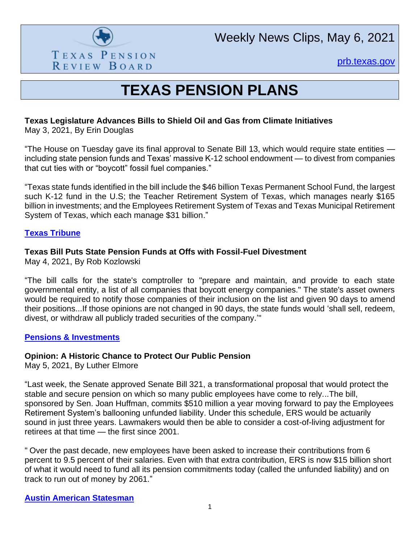

[prb.texas.gov](http://www.prb.texas.gov/)

# **TEXAS PENSION PLANS**

## **Texas Legislature Advances Bills to Shield Oil and Gas from Climate Initiatives**

May 3, 2021, By Erin Douglas

"The House on Tuesday gave its final approval to Senate Bill 13, which would require state entities including state pension funds and Texas' massive K-12 school endowment — to divest from companies that cut ties with or "boycott" fossil fuel companies."

"Texas state funds identified in the bill include the \$46 billion Texas Permanent School Fund, the largest such K-12 fund in the U.S; the Teacher Retirement System of Texas, which manages nearly \$165 billion in investments; and the Employees Retirement System of Texas and Texas Municipal Retirement System of Texas, which each manage \$31 billion."

#### **[Texas Tribune](https://www.texastribune.org/2021/05/03/texas-house-fossil-fuel-oil-divest/)**

#### **Texas Bill Puts State Pension Funds at Offs with Fossil-Fuel Divestment**

May 4, 2021, By Rob Kozlowski

"The bill calls for the state's comptroller to "prepare and maintain, and provide to each state governmental entity, a list of all companies that boycott energy companies." The state's asset owners would be required to notify those companies of their inclusion on the list and given 90 days to amend their positions...If those opinions are not changed in 90 days, the state funds would 'shall sell, redeem, divest, or withdraw all publicly traded securities of the company.'"

#### **[Pensions & Investments](https://www.pionline.com/legislation/texas-bill-puts-state-pension-funds-odds-fossil-fuel-divestment)**

#### **Opinion: A Historic Chance to Protect Our Public Pension**

May 5, 2021, By Luther Elmore

"Last week, the Senate approved Senate Bill 321, a transformational proposal that would protect the stable and secure pension on which so many public employees have come to rely...The bill, sponsored by Sen. Joan Huffman, commits \$510 million a year moving forward to pay the Employees Retirement System's ballooning unfunded liability. Under this schedule, ERS would be actuarily sound in just three years. Lawmakers would then be able to consider a cost-of-living adjustment for retirees at that time — the first since 2001.

" Over the past decade, new employees have been asked to increase their contributions from 6 percent to 9.5 percent of their salaries. Even with that extra contribution, ERS is now \$15 billion short of what it would need to fund all its pension commitments today (called the unfunded liability) and on track to run out of money by 2061."

#### **[Austin American Statesman](https://www.statesman.com/story/opinion/columns/your-voice/2021/05/05/state-lawmakers-have-historic-chance-protect-our-public-pension/4945192001/)**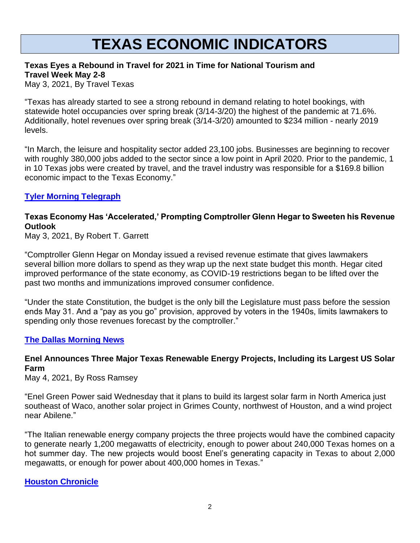# **TEXAS ECONOMIC INDICATORS**

#### **Texas Eyes a Rebound in Travel for 2021 in Time for National Tourism and Travel Week May 2-8**

May 3, 2021, By Travel Texas

"Texas has already started to see a strong rebound in demand relating to hotel bookings, with statewide hotel occupancies over spring break (3/14-3/20) the highest of the pandemic at 71.6%. Additionally, hotel revenues over spring break (3/14-3/20) amounted to \$234 million - nearly 2019 levels.

"In March, the leisure and hospitality sector added 23,100 jobs. Businesses are beginning to recover with roughly 380,000 jobs added to the sector since a low point in April 2020. Prior to the pandemic, 1 in 10 Texas jobs were created by travel, and the travel industry was responsible for a \$169.8 billion economic impact to the Texas Economy."

#### **[Tyler Morning Telegraph](https://tylerpaper.com/news/texas/texas-eyes-a-rebound-in-travel-for-2021-in-time-for-national-tourism-and-travel/article_d8b5d5a5-8622-5c19-802f-6f00d4cdd422.html)**

# **Texas Economy Has 'Accelerated,' Prompting Comptroller Glenn Hegar to Sweeten his Revenue Outlook**

May 3, 2021, By Robert T. Garrett

"Comptroller Glenn Hegar on Monday issued a revised revenue estimate that gives lawmakers several billion more dollars to spend as they wrap up the next state budget this month. Hegar cited improved performance of the state economy, as COVID-19 restrictions began to be lifted over the past two months and immunizations improved consumer confidence.

"Under the state Constitution, the budget is the only bill the Legislature must pass before the session ends May 31. And a "pay as you go" provision, approved by voters in the 1940s, limits lawmakers to spending only those revenues forecast by the comptroller."

#### **[The Dallas Morning News](https://www.dallasnews.com/news/politics/2021/05/03/texas-economy-has-accelerated-prompting-comptroller-glenn-hegar-to-sweeten-his-outlook/)**

### **Enel Announces Three Major Texas Renewable Energy Projects, Including its Largest US Solar Farm**

May 4, 2021, By Ross Ramsey

"Enel Green Power said Wednesday that it plans to build its largest solar farm in North America just southeast of Waco, another solar project in Grimes County, northwest of Houston, and a wind project near Abilene."

"The Italian renewable energy company projects the three projects would have the combined capacity to generate nearly 1,200 megawatts of electricity, enough to power about 240,000 Texas homes on a hot summer day. The new projects would boost Enel's generating capacity in Texas to about 2,000 megawatts, or enough for power about 400,000 homes in Texas."

#### **[Houston Chronicle](https://www.houstonchronicle.com/business/energy/article/Enel-announces-three-major-Texas-renewable-energy-16151867.php)**